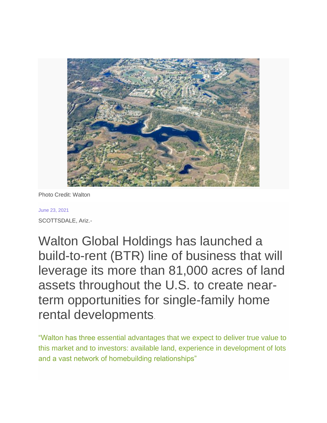

Photo Credit: Walton

## June 23, 2021 SCOTTSDALE, Ariz.-

Walton Global Holdings has launched a build-to-rent (BTR) line of business that will leverage its more than 81,000 acres of land assets throughout the U.S. to create nearterm opportunities for single-family home rental developments.

"Walton has three essential advantages that we expect to deliver true value to this market and to investors: available land, experience in development of lots and a vast network of homebuilding relationships"